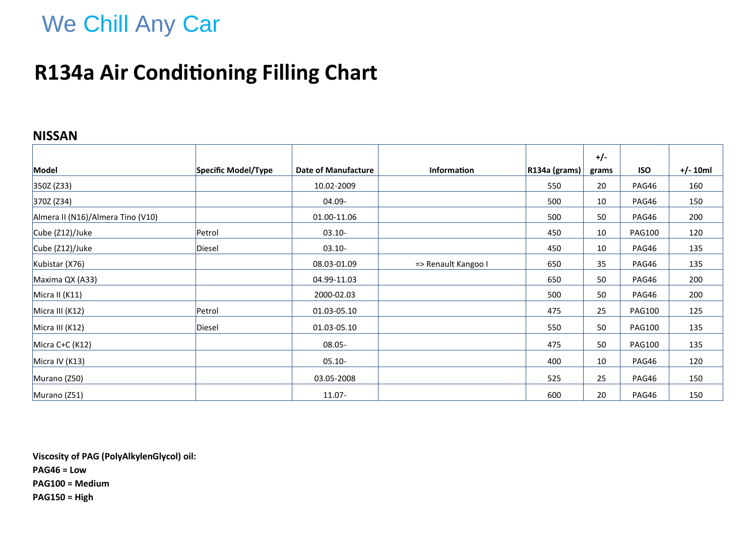## We Chill Any Car

## **R134a Air Conditioning Filling Chart**

#### **NISSAN**

|                                   |                     |                            |                     |               | $+/-$ |               |            |
|-----------------------------------|---------------------|----------------------------|---------------------|---------------|-------|---------------|------------|
| Model                             | Specific Model/Type | <b>Date of Manufacture</b> | <b>Information</b>  | R134a (grams) | grams | <b>ISO</b>    | $+/- 10ml$ |
| 350Z (Z33)                        |                     | 10.02-2009                 |                     | 550           | 20    | PAG46         | 160        |
| 370Z (Z34)                        |                     | 04.09-                     |                     | 500           | 10    | PAG46         | 150        |
| Almera II (N16)/Almera Tino (V10) |                     | 01.00-11.06                |                     | 500           | 50    | PAG46         | 200        |
| Cube (Z12)/Juke                   | Petrol              | $03.10 -$                  |                     | 450           | 10    | <b>PAG100</b> | 120        |
| Cube (Z12)/Juke                   | Diesel              | $03.10 -$                  |                     | 450           | 10    | PAG46         | 135        |
| Kubistar (X76)                    |                     | 08.03-01.09                | => Renault Kangoo I | 650           | 35    | PAG46         | 135        |
| Maxima QX (A33)                   |                     | 04.99-11.03                |                     | 650           | 50    | PAG46         | 200        |
| Micra II (K11)                    |                     | 2000-02.03                 |                     | 500           | 50    | PAG46         | 200        |
| Micra III (K12)                   | Petrol              | 01.03-05.10                |                     | 475           | 25    | <b>PAG100</b> | 125        |
| Micra III (K12)                   | Diesel              | 01.03-05.10                |                     | 550           | 50    | <b>PAG100</b> | 135        |
| Micra C+C (K12)                   |                     | $08.05 -$                  |                     | 475           | 50    | <b>PAG100</b> | 135        |
| Micra IV (K13)                    |                     | $05.10 -$                  |                     | 400           | 10    | PAG46         | 120        |
| Murano (Z50)                      |                     | 03.05-2008                 |                     | 525           | 25    | PAG46         | 150        |
| Murano (Z51)                      |                     | 11.07-                     |                     | 600           | 20    | PAG46         | 150        |

**Viscosity of PAG (PolyAlkylenGlycol) oil: PAG46 = Low PAG100 = Medium PAG150 = High**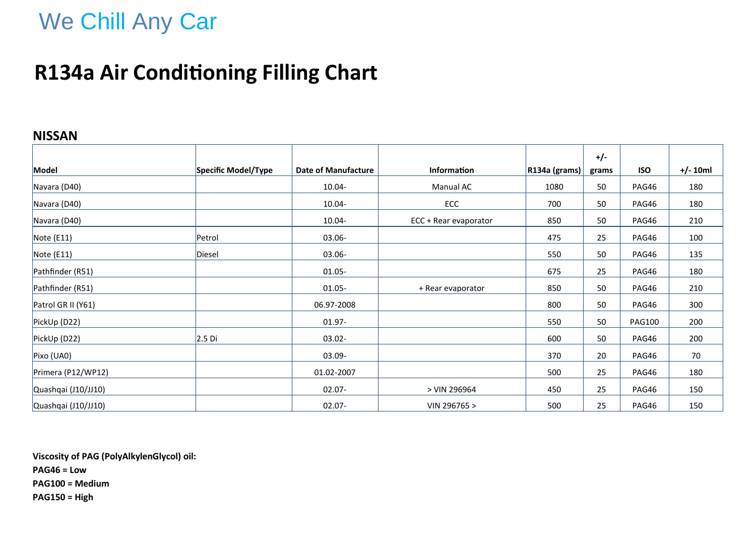# We Chill Any Car

### **R134a Air Conditioning Filling Chart**

#### **NISSAN**

|                     |                     |                            |                       |               | $+/-$ |               |            |
|---------------------|---------------------|----------------------------|-----------------------|---------------|-------|---------------|------------|
| Model               | Specific Model/Type | <b>Date of Manufacture</b> | Information           | R134a (grams) | grams | <b>ISO</b>    | $+/- 10ml$ |
| Navara (D40)        |                     | 10.04-                     | Manual AC             | 1080          | 50    | PAG46         | 180        |
| Navara (D40)        |                     | 10.04-                     | ECC                   | 700           | 50    | PAG46         | 180        |
| Navara (D40)        |                     | 10.04-                     | ECC + Rear evaporator | 850           | 50    | PAG46         | 210        |
| Note $(E11)$        | Petrol              | 03.06-                     |                       | 475           | 25    | PAG46         | 100        |
| Note $(E11)$        | Diesel              | 03.06-                     |                       | 550           | 50    | PAG46         | 135        |
| Pathfinder (R51)    |                     | $01.05 -$                  |                       | 675           | 25    | PAG46         | 180        |
| Pathfinder (R51)    |                     | $01.05 -$                  | + Rear evaporator     | 850           | 50    | PAG46         | 210        |
| Patrol GR II (Y61)  |                     | 06.97-2008                 |                       | 800           | 50    | PAG46         | 300        |
| PickUp (D22)        |                     | $01.97 -$                  |                       | 550           | 50    | <b>PAG100</b> | 200        |
| PickUp (D22)        | $2.5$ Di            | $03.02 -$                  |                       | 600           | 50    | PAG46         | 200        |
| Pixo (UA0)          |                     | 03.09-                     |                       | 370           | 20    | PAG46         | 70         |
| Primera (P12/WP12)  |                     | 01.02-2007                 |                       | 500           | 25    | PAG46         | 180        |
| Quashqai (J10/JJ10) |                     | $02.07 -$                  | > VIN 296964          | 450           | 25    | PAG46         | 150        |
| Quashqai (J10/JJ10) |                     | $02.07 -$                  | VIN 296765 >          | 500           | 25    | PAG46         | 150        |

**Viscosity of PAG (PolyAlkylenGlycol) oil: PAG46 = Low PAG100 = Medium PAG150 = High**